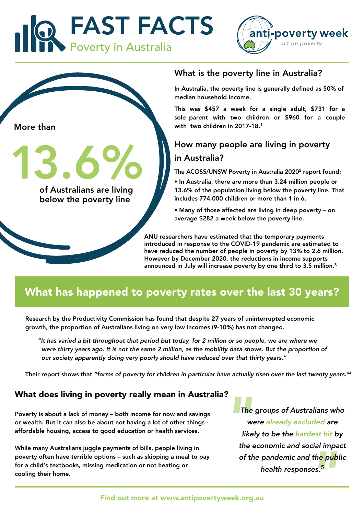





13.6%

of Australians are living below the poverty line

#### What is the poverty line in Australia?

In Australia, the poverty line is generally defined as 50% of median household income.

This was \$457 a week for a single adult, \$731 for a sole parent with two children or \$960 for a couple with two children in 2017-18.<sup>1</sup>

#### How many people are living in poverty in Australia?

The ACOSS/UNSW Poverty in Australia 2020<sup>2</sup> report found:

• In Australia, there are more than 3.24 million people or 13.6% of the population living below the poverty line. That includes 774,000 children or more than 1 in 6.

• Many of those affected are living in deep poverty – on average \$282 a week below the poverty line.

ANU researchers have estimated that the temporary payments introduced in response to the COVID-19 pandemic are estimated to have reduced the number of people in poverty by 13% to 2.6 million. However by December 2020, the reductions in income supports announced in July will increase poverty by one third to 3.5 million.3

## What has happened to poverty rates over the last 30 years?

Research by the Productivity Commission has found that despite 27 years of uninterrupted economic growth, the proportion of Australians living on very low incomes (9-10%) has not changed.

"It has varied a bit throughout that period but today, for 2 million or so people, we are where we were thirty years ago. It is not the same 2 million, as the mobility data shows. But the proportion of our society apparently doing very poorly should have reduced over that thirty years."

Their report shows that "forms of poverty for children in particular have actually risen over the last twenty years." 4

#### What does living in poverty really mean in Australia?

Poverty is about a lack of money – both income for now and savings or wealth. But it can also be about not having a lot of other things affordable housing, access to good education or health services.

While many Australians juggle payments of bills, people living in poverty often have terrible options – such as skipping a meal to pay for a child's textbooks, missing medication or not heating or cooling their home.

the pub<br>d th<mark>e pub</mark><br>ses.<sup>5</sup> 1?<br>The<br>Wike<br>the the The groups of Australians who were already excluded are likely to be the hardest hit by the economic and social impact of the pandemic and the public health responses.<sup>5</sup>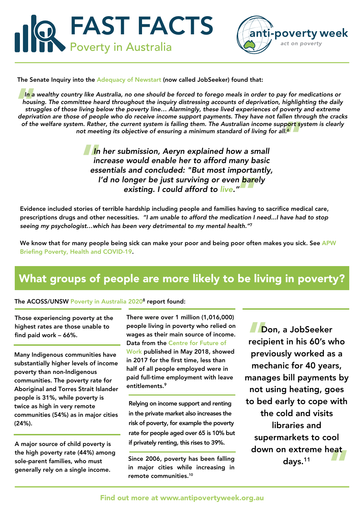



The Senate Inquiry into the [Adequacy of Newstart](https://www.aph.gov.au/Parliamentary_Business/Committees/Senate/Community_Affairs/Newstartrelatedpayments/Report) (now called JobSeeker) found that:

of the welfare system. Rather, the current system is failing them. The Australian income support system is clearly<br>not meeting its objective of ensuring a minimum standard of living for all.<br>In her submission, Aeryn explai In a wealthy country like Australia, no one should be forced to forego meals in order to pay for medications or<br>housing. The committee heard throughout the inquiry distressing accounts of deprivation, highlighting the dail In a wealthy country like Australia, no one should be forced to forego meals in order to pay for medications or housing. The committee heard throughout the inquiry distressing accounts of deprivation, highlighting the daily struggles of those living below the poverty line… Alarmingly, these lived experiences of poverty and extreme not meeting its objective of ensuring a minimum standard of living for all.<sup>6</sup>

I'd no longer be just surviving or even <mark>bar</mark>ely<br>| existing. I could afford to live."<br>| f terrible hardship including people and families having to **In**<br>in<br>ess In her submission, Aeryn explained how a small increase would enable her to afford many basic essentials and concluded: "But most importantly, existing. I could afford to live."

Evidence included stories of terrible hardship including people and families having to sacrifice medical care, prescriptions drugs and other necessities. "I am unable to afford the medication I need...I have had to stop seeing my psychologist...which has been very detrimental to my mental health."7

We know that for many people being sick can make your poor and being poor often makes you sick. See APW [Briefing Poverty, Health and COVID-19.](https://antipovertyweek.org.au/wp-content/uploads/2020/04/APW-17420-Poverty-Health-and-COVID-19.pdf)

# What groups of people are more likely to be living in poverty?

#### The ACOSS/UNSW [Poverty in Australia 2020](http://povertyandinequality.acoss.org.au/wp-content/uploads/2020/05/Poverty-in-Australia-2020-Part-2-%E2%80%93-Who-is-affected_Final.pdf)<sup>8</sup> report found:

Those experiencing poverty at the highest rates are those unable to find paid work – 66%.

Many Indigenous communities have substantially higher levels of income poverty than non-Indigenous communities. The poverty rate for Aboriginal and Torres Strait Islander people is 31%, while poverty is twice as high in very remote communities (54%) as in major cities (24%).

A major source of child poverty is the high poverty rate (44%) among sole-parent families, who must generally rely on a single income.

There were over 1 million (1,016,000) people living in poverty who relied on wages as their main source of income. Data from th[e Centre for Future of](https://www.tai.org.au/sites/default/files/Insecure_Work_Factbook.pdf)  [Work](https://www.tai.org.au/sites/default/files/Insecure_Work_Factbook.pdf) published in May 2018, showed in 2017 for the first time, less than half of all people employed were in paid full-time employment with leave entitlements.<sup>9</sup>

Relying on income support and renting in the private market also increases the risk of poverty, for example the poverty rate for people aged over 65 is 10% but if privately renting, this rises to 39%.

Since 2006, poverty has been falling in major cities while increasing in remote communities.<sup>10</sup>

" D<br>
recip<br>
prev down on extreme heat<br>days.<sup>11</sup> Don, a JobSeeker recipient in his 60's who previously worked as a mechanic for 40 years, manages bill payments by not using heating, goes to bed early to cope with the cold and visits libraries and supermarkets to cool days.<sup>1</sup><sup>1</sup>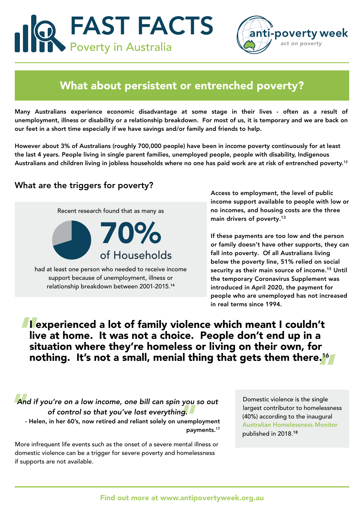FAST FACTS Poverty in Australia



### What about persistent or entrenched poverty?

Many Australians experience economic disadvantage at some stage in their lives - often as a result of unemployment, illness or disability or a relationship breakdown. For most of us, it is temporary and we are back on our feet in a short time especially if we have savings and/or family and friends to help.

However about 3% of Australians (roughly 700,000 people) have been in income poverty continuously for at least the last 4 years. People living in single parent families, unemployed people, people with disability, Indigenous Australians and children living in jobless households where no one has paid work are at risk of entrenched poverty.<sup>12</sup>

#### What are the triggers for poverty?

70% of Households Recent research found that as many as

had at least one person who needed to receive income support because of unemployment, illness or relationship breakdown between 2001-2015.1<sup>4</sup>

Access to employment, the level of public income support available to people with low or no incomes, and housing costs are the three main drivers of poverty.<sup>1</sup><sup>3</sup>

If these payments are too low and the person or family doesn't have other supports, they can fall into poverty. Of all Australians living below the poverty line, 51% relied on social security as their main source of income.<sup>1</sup><sup>5</sup> Until the temporary Coronavirus Supplement was introduced in April 2020, the payment for people who are unemployed has not increased in real terms since 1994.

" " nothing. It's not a small, menial thing that gets them there.1<sup>6</sup> I experienced a lot of family violence which meant I couldn't live at home. It was not a choice. People don't end up in a situation where they're homeless or living on their own, for

And<br>you<br>g.<br>nemp<br>pay And if you're on a low income, one bill can spin you so out of control so that you've lost everything. - Helen, in her 60's, now retired and reliant solely on unemployment payments.<sup>17</sup>

More infrequent life events such as the onset of a severe mental illness or domestic violence can be a trigger for severe poverty and homelessness if supports are not available.

Domestic violence is the single largest contributor to homelessness (40%) according to the inaugural [Australian Homelessness Monitor](https://www.launchhousing.org.au/site/wp-content/uploads/2018/05/LaunchHousing_AHM2018_Overview.pdf) published in 2018.18